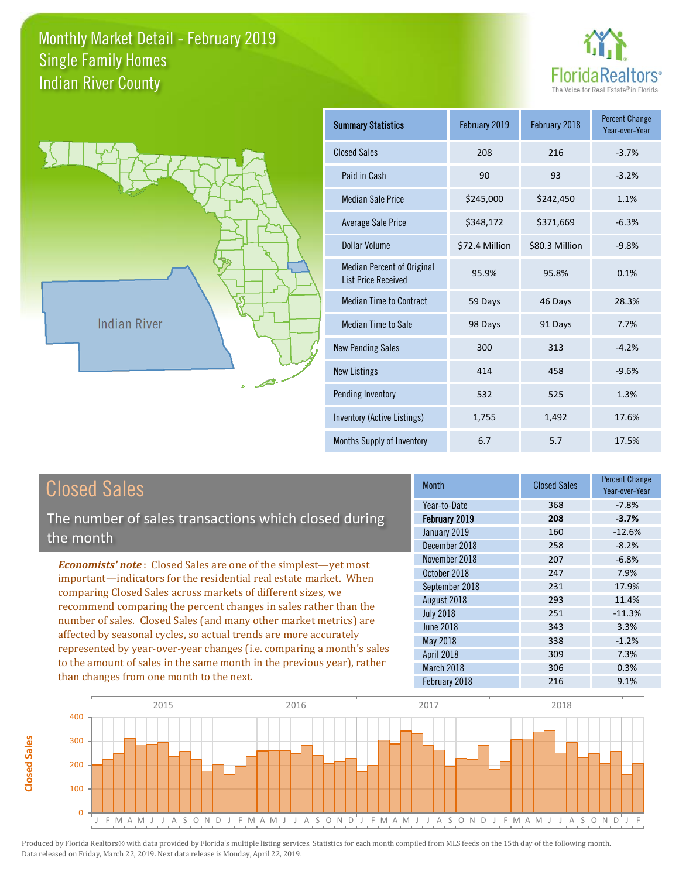



**Closed Sales**

**Closed Sales** 

| <b>Summary Statistics</b>                                       | February 2019  | February 2018  | <b>Percent Change</b><br>Year-over-Year |
|-----------------------------------------------------------------|----------------|----------------|-----------------------------------------|
| <b>Closed Sales</b>                                             | 208            | 216            | $-3.7%$                                 |
| Paid in Cash                                                    | 90             | 93             | $-3.2%$                                 |
| <b>Median Sale Price</b>                                        | \$245,000      | \$242,450      | 1.1%                                    |
| Average Sale Price                                              | \$348,172      | \$371,669      | $-6.3%$                                 |
| Dollar Volume                                                   | \$72.4 Million | \$80.3 Million | $-9.8%$                                 |
| <b>Median Percent of Original</b><br><b>List Price Received</b> | 95.9%          | 95.8%          | 0.1%                                    |
| <b>Median Time to Contract</b>                                  | 59 Days        | 46 Days        | 28.3%                                   |
| <b>Median Time to Sale</b>                                      | 98 Days        | 91 Days        | 7.7%                                    |
| <b>New Pending Sales</b>                                        | 300            | 313            | $-4.2%$                                 |
| <b>New Listings</b>                                             | 414            | 458            | $-9.6%$                                 |
| Pending Inventory                                               | 532            | 525            | 1.3%                                    |
| Inventory (Active Listings)                                     | 1,755          | 1,492          | 17.6%                                   |
| Months Supply of Inventory                                      | 6.7            | 5.7            | 17.5%                                   |

| <b>Closed Sales</b>                                                                                                                                                                                                  | <b>Month</b>      | <b>Closed Sales</b> | <b>Percent Change</b><br>Year-over-Year |
|----------------------------------------------------------------------------------------------------------------------------------------------------------------------------------------------------------------------|-------------------|---------------------|-----------------------------------------|
|                                                                                                                                                                                                                      | Year-to-Date      | 368                 | $-7.8%$                                 |
| The number of sales transactions which closed during                                                                                                                                                                 | February 2019     | 208                 | $-3.7%$                                 |
| the month                                                                                                                                                                                                            | January 2019      | 160                 | $-12.6%$                                |
|                                                                                                                                                                                                                      | December 2018     | 258                 | $-8.2%$                                 |
| <b>Economists' note:</b> Closed Sales are one of the simplest—yet most                                                                                                                                               | November 2018     | 207                 | $-6.8%$                                 |
| important—indicators for the residential real estate market. When                                                                                                                                                    | October 2018      | 247                 | 7.9%                                    |
| comparing Closed Sales across markets of different sizes, we                                                                                                                                                         | September 2018    | 231                 | 17.9%                                   |
| recommend comparing the percent changes in sales rather than the                                                                                                                                                     | August 2018       | 293                 | 11.4%                                   |
| number of sales. Closed Sales (and many other market metrics) are                                                                                                                                                    | <b>July 2018</b>  | 251                 | $-11.3%$                                |
| affected by seasonal cycles, so actual trends are more accurately<br>represented by year-over-year changes (i.e. comparing a month's sales<br>to the amount of sales in the same month in the previous year), rather | <b>June 2018</b>  | 343                 | 3.3%                                    |
|                                                                                                                                                                                                                      | May 2018          | 338                 | $-1.2%$                                 |
|                                                                                                                                                                                                                      | <b>April 2018</b> | 309                 | 7.3%                                    |
|                                                                                                                                                                                                                      | March 2018        | 306                 | 0.3%                                    |
| than changes from one month to the next.                                                                                                                                                                             | February 2018     | 216                 | 9.1%                                    |

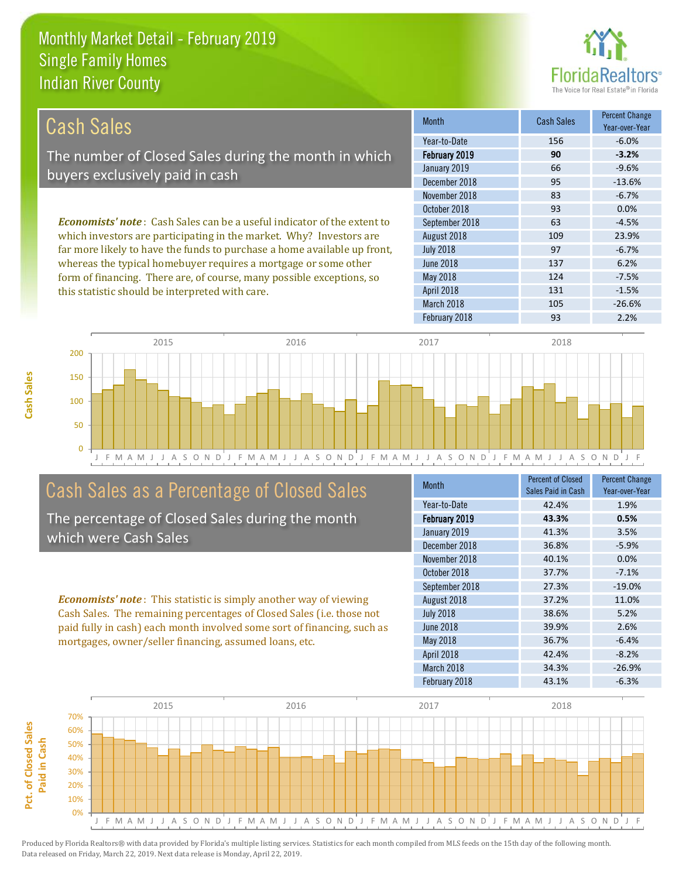this statistic should be interpreted with care.



131 -1.5%

| Cash Sales                                                                     | <b>Month</b>     | <b>Cash Sales</b> | <b>Percent Change</b><br>Year-over-Year |
|--------------------------------------------------------------------------------|------------------|-------------------|-----------------------------------------|
|                                                                                | Year-to-Date     | 156               | $-6.0\%$                                |
| The number of Closed Sales during the month in which                           | February 2019    | 90                | $-3.2%$                                 |
| buyers exclusively paid in cash                                                | January 2019     | 66                | $-9.6%$                                 |
|                                                                                | December 2018    | 95                | $-13.6%$                                |
|                                                                                | November 2018    | 83                | $-6.7%$                                 |
|                                                                                | October 2018     | 93                | $0.0\%$                                 |
| <b>Economists' note:</b> Cash Sales can be a useful indicator of the extent to | September 2018   | 63                | $-4.5%$                                 |
| which investors are participating in the market. Why? Investors are            | August 2018      | 109               | 23.9%                                   |
| far more likely to have the funds to purchase a home available up front,       | <b>July 2018</b> | 97                | $-6.7%$                                 |
| whereas the typical homebuyer requires a mortgage or some other                | June 2018        | 137               | 6.2%                                    |
| form of financing. There are, of course, many possible exceptions, so          | May 2018         | 124               | $-7.5%$                                 |



# Cash Sales as a Percentage of Closed Sales

The percentage of Closed Sales during the month which were Cash Sales

*Economists' note* : This statistic is simply another way of viewing Cash Sales. The remaining percentages of Closed Sales (i.e. those not paid fully in cash) each month involved some sort of financing, such as mortgages, owner/seller financing, assumed loans, etc.

| <b>Month</b>     | <b>Percent of Closed</b><br>Sales Paid in Cash | <b>Percent Change</b><br>Year-over-Year |
|------------------|------------------------------------------------|-----------------------------------------|
| Year-to-Date     | 42.4%                                          | 1.9%                                    |
| February 2019    | 43.3%                                          | 0.5%                                    |
| January 2019     | 41.3%                                          | 3.5%                                    |
| December 2018    | 36.8%                                          | $-5.9%$                                 |
| November 2018    | 40.1%                                          | 0.0%                                    |
| October 2018     | 37.7%                                          | $-7.1%$                                 |
| September 2018   | 27.3%                                          | $-19.0%$                                |
| August 2018      | 37.2%                                          | 11.0%                                   |
| <b>July 2018</b> | 38.6%                                          | 5.2%                                    |
| June 2018        | 39.9%                                          | 2.6%                                    |
| May 2018         | 36.7%                                          | $-6.4%$                                 |
| April 2018       | 42.4%                                          | $-8.2%$                                 |
| March 2018       | 34.3%                                          | $-26.9%$                                |
| February 2018    | 43.1%                                          | $-6.3%$                                 |

February 2018 **93** 2.2%

March 2018 105 -26.6%

April 2018

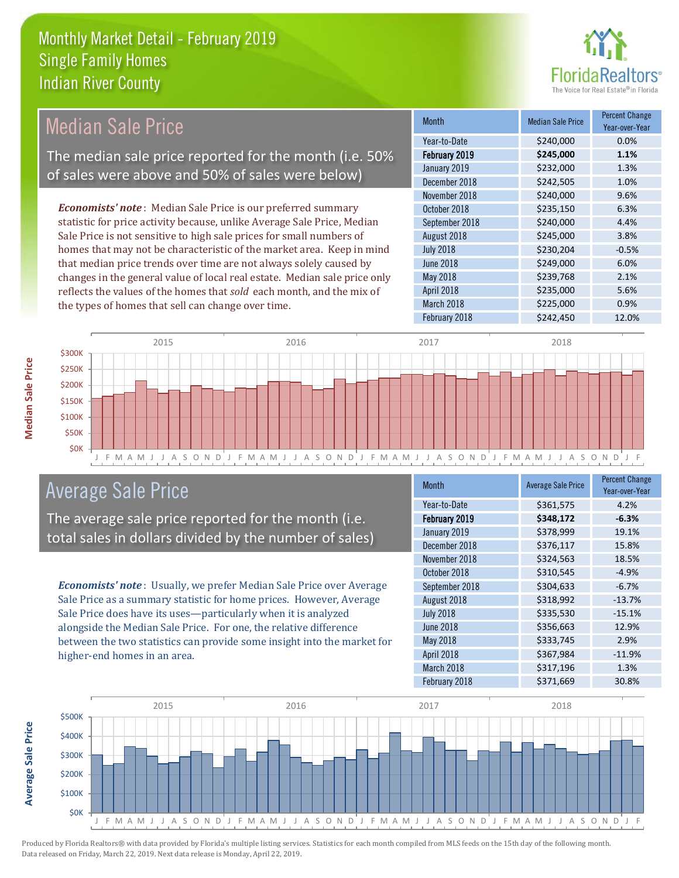

#### Month Median Sale Price Percent Change Year-over-Year February 2019 **\$245,000 1.1%** Year-to-Date \$240,000 0.0% July 2018 **\$230,204** -0.5% January 2019 **\$232,000** \$234,000 December 2018 \$242,505 1.0% September 2018 **\$240,000** 4.4% August 2018 \$245,000 3.8% November 2018 **\$240,000** \$240,000 October 2018 **\$235,150** 6.3% June 2018 **\$249,000** 6.0% May 2018 **3239,768** 2.1% April 2018 **\$235,000** 5.6% March 2018 **\$225,000 0.9%** February 2018 **\$242,450** 12.0% *Economists' note* : Median Sale Price is our preferred summary statistic for price activity because, unlike Average Sale Price, Median Sale Price is not sensitive to high sale prices for small numbers of homes that may not be characteristic of the market area. Keep in mind that median price trends over time are not always solely caused by changes in the general value of local real estate. Median sale price only reflects the values of the homes that *sold* each month, and the mix of the types of homes that sell can change over time. Median Sale Price The median sale price reported for the month (i.e. 50% of sales were above and 50% of sales were below)



## Average Sale Price

The average sale price reported for the month (i.e. total sales in dollars divided by the number of sales)

*Economists' note* : Usually, we prefer Median Sale Price over Average Sale Price as a summary statistic for home prices. However, Average Sale Price does have its uses—particularly when it is analyzed alongside the Median Sale Price. For one, the relative difference between the two statistics can provide some insight into the market for higher-end homes in an area.

| <b>Month</b>     | <b>Average Sale Price</b> | <b>Percent Change</b><br>Year-over-Year |
|------------------|---------------------------|-----------------------------------------|
| Year-to-Date     | \$361,575                 | 4.2%                                    |
| February 2019    | \$348,172                 | $-6.3%$                                 |
| January 2019     | \$378,999                 | 19.1%                                   |
| December 2018    | \$376,117                 | 15.8%                                   |
| November 2018    | \$324,563                 | 18.5%                                   |
| October 2018     | \$310,545                 | $-4.9%$                                 |
| September 2018   | \$304,633                 | $-6.7%$                                 |
| August 2018      | \$318,992                 | $-13.7%$                                |
| <b>July 2018</b> | \$335,530                 | $-15.1%$                                |
| June 2018        | \$356,663                 | 12.9%                                   |
| May 2018         | \$333,745                 | 2.9%                                    |
| April 2018       | \$367,984                 | $-11.9%$                                |
| March 2018       | \$317,196                 | 1.3%                                    |
| February 2018    | \$371,669                 | 30.8%                                   |

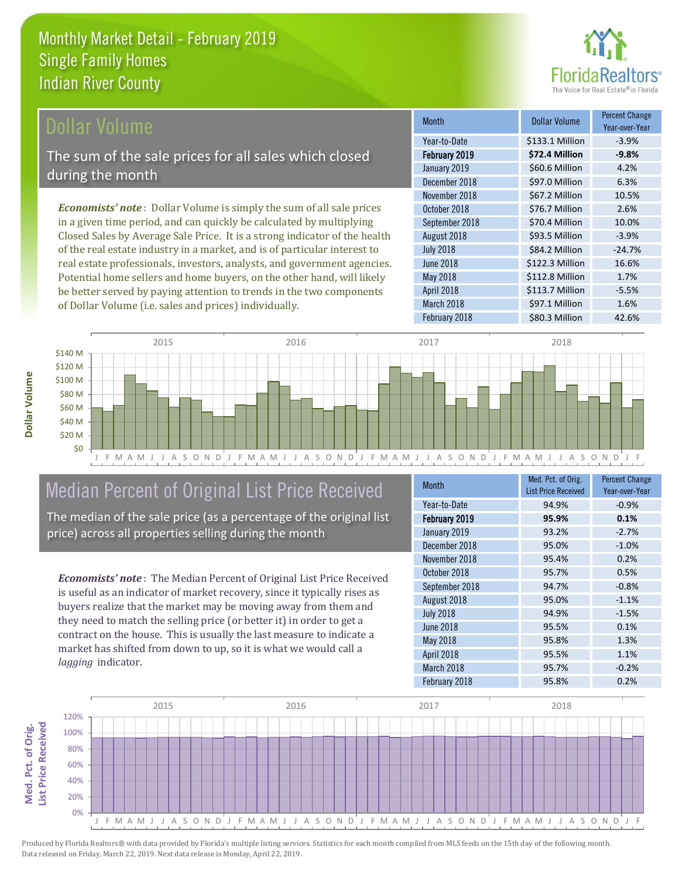

Year-over-Year

-24.7%

\$112.8 Million 1.7%

\$113.7 Million -5.5%

Month **Dollar Volume** Percent Change

February 2019 **\$72.4 Million -9.8%** Year-to-Date \$133.1 Million -3.9%

January 2019 \$60.6 Million 4.2% December 2018 **\$97.0 Million** 6.3%

November 2018 **\$67.2 Million** 10.5% October 2018 **\$76.7 Million** 2.6% September 2018 **\$70.4 Million** 10.0% August 2018 593.5 Million -3.9%

February 2018 **\$80.3 Million** 42.6%

March 2018 **\$97.1 Million 1.6%** 

June 2018 **\$122.3 Million** 16.6%

July 2018 **\$84.2 Million** 

April 2018

May 2018

### Dollar Volume

The sum of the sale prices for all sales which closed during the month

*Economists' note* : Dollar Volume is simply the sum of all sale prices in a given time period, and can quickly be calculated by multiplying Closed Sales by Average Sale Price. It is a strong indicator of the health of the real estate industry in a market, and is of particular interest to real estate professionals, investors, analysts, and government agencies. Potential home sellers and home buyers, on the other hand, will likely be better served by paying attention to trends in the two components of Dollar Volume (i.e. sales and prices) individually.



# Median Percent of Original List Price Received

The median of the sale price (as a percentage of the original list price) across all properties selling during the month

*Economists' note* : The Median Percent of Original List Price Received is useful as an indicator of market recovery, since it typically rises as buyers realize that the market may be moving away from them and they need to match the selling price (or better it) in order to get a contract on the house. This is usually the last measure to indicate a market has shifted from down to up, so it is what we would call a *lagging* indicator.

| <b>Month</b>     | Med. Pct. of Orig.<br><b>List Price Received</b> | <b>Percent Change</b><br>Year-over-Year |
|------------------|--------------------------------------------------|-----------------------------------------|
| Year-to-Date     | 94.9%                                            | $-0.9%$                                 |
| February 2019    | 95.9%                                            | 0.1%                                    |
| January 2019     | 93.2%                                            | $-2.7%$                                 |
| December 2018    | 95.0%                                            | $-1.0%$                                 |
| November 2018    | 95.4%                                            | 0.2%                                    |
| October 2018     | 95.7%                                            | 0.5%                                    |
| September 2018   | 94.7%                                            | $-0.8%$                                 |
| August 2018      | 95.0%                                            | $-1.1%$                                 |
| <b>July 2018</b> | 94.9%                                            | $-1.5%$                                 |
| June 2018        | 95.5%                                            | 0.1%                                    |
| May 2018         | 95.8%                                            | 1.3%                                    |
| April 2018       | 95.5%                                            | 1.1%                                    |
| March 2018       | 95.7%                                            | $-0.2%$                                 |
| February 2018    | 95.8%                                            | 0.2%                                    |

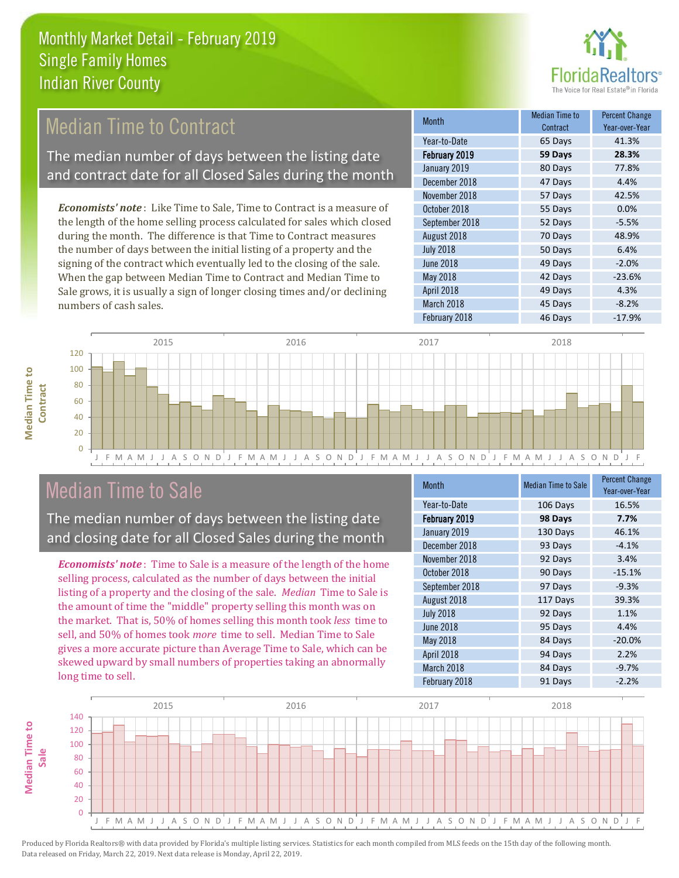

# Median Time to Contract

The median number of days between the listing date and contract date for all Closed Sales during the month

*Economists' note* : Like Time to Sale, Time to Contract is a measure of the length of the home selling process calculated for sales which closed during the month. The difference is that Time to Contract measures the number of days between the initial listing of a property and the signing of the contract which eventually led to the closing of the sale. When the gap between Median Time to Contract and Median Time to Sale grows, it is usually a sign of longer closing times and/or declining numbers of cash sales.

| Month            | Median Time to<br>Contract | <b>Percent Change</b><br>Year-over-Year |
|------------------|----------------------------|-----------------------------------------|
| Year-to-Date     | 65 Days                    | 41.3%                                   |
| February 2019    | 59 Days                    | 28.3%                                   |
| January 2019     | 80 Days                    | 77.8%                                   |
| December 2018    | 47 Days                    | 4.4%                                    |
| November 2018    | 57 Days                    | 42.5%                                   |
| October 2018     | 55 Days                    | 0.0%                                    |
| September 2018   | 52 Days                    | $-5.5%$                                 |
| August 2018      | 70 Days                    | 48.9%                                   |
| <b>July 2018</b> | 50 Days                    | 6.4%                                    |
| June 2018        | 49 Days                    | $-2.0%$                                 |
| May 2018         | 42 Days                    | $-23.6%$                                |
| April 2018       | 49 Days                    | 4.3%                                    |
| March 2018       | 45 Days                    | $-8.2%$                                 |
| February 2018    | 46 Days                    | $-17.9%$                                |



J F M A M J J A S O N D J F M A M J J A S O N D J F M A M J J A S O N D J F M A M J J A S O N D J F

### Median Time to Sale

The median number of days between the listing date and closing date for all Closed Sales during the month

*Economists' note* : Time to Sale is a measure of the length of the home selling process, calculated as the number of days between the initial listing of a property and the closing of the sale. *Median* Time to Sale is the amount of time the "middle" property selling this month was on the market. That is, 50% of homes selling this month took *less* time to sell, and 50% of homes took *more* time to sell. Median Time to Sale gives a more accurate picture than Average Time to Sale, which can be skewed upward by small numbers of properties taking an abnormally long time to sell.

| Month            | <b>Median Time to Sale</b> | <b>Percent Change</b><br>Year-over-Year |
|------------------|----------------------------|-----------------------------------------|
| Year-to-Date     | 106 Days                   | 16.5%                                   |
| February 2019    | 98 Days                    | 7.7%                                    |
| January 2019     | 130 Days                   | 46.1%                                   |
| December 2018    | 93 Days                    | $-4.1%$                                 |
| November 2018    | 92 Days                    | 3.4%                                    |
| October 2018     | 90 Days                    | $-15.1%$                                |
| September 2018   | 97 Days                    | $-9.3%$                                 |
| August 2018      | 117 Days                   | 39.3%                                   |
| <b>July 2018</b> | 92 Days                    | 1.1%                                    |
| <b>June 2018</b> | 95 Days                    | 4.4%                                    |
| May 2018         | 84 Days                    | $-20.0%$                                |
| April 2018       | 94 Days                    | 2.2%                                    |
| March 2018       | 84 Days                    | $-9.7%$                                 |
| February 2018    | 91 Days                    | $-2.2%$                                 |

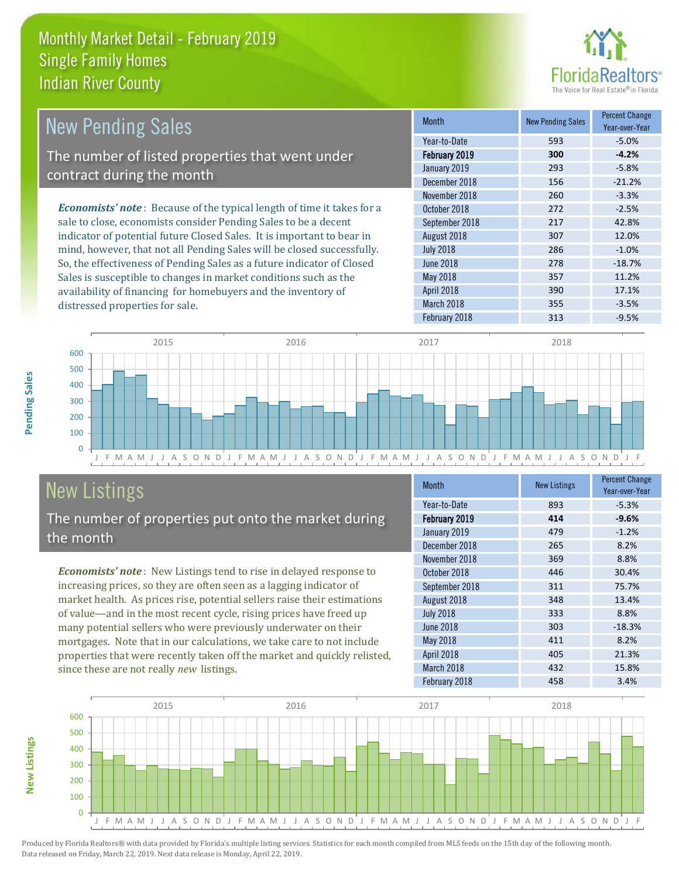

| <b>New Pending Sales</b>                                                      | <b>Month</b>     | <b>New Pending Sales</b> | <b>Percent Change</b><br>Year-over-Year |
|-------------------------------------------------------------------------------|------------------|--------------------------|-----------------------------------------|
|                                                                               | Year-to-Date     | 593                      | $-5.0\%$                                |
| The number of listed properties that went under                               | February 2019    | 300                      | $-4.2%$                                 |
| contract during the month                                                     | January 2019     | 293                      | $-5.8%$                                 |
|                                                                               | December 2018    | 156                      | $-21.2%$                                |
|                                                                               | November 2018    | 260                      | $-3.3%$                                 |
| <b>Economists' note:</b> Because of the typical length of time it takes for a | October 2018     | 272                      | $-2.5%$                                 |
| sale to close, economists consider Pending Sales to be a decent               | September 2018   | 217                      | 42.8%                                   |
| indicator of potential future Closed Sales. It is important to bear in        | August 2018      | 307                      | 12.0%                                   |
| mind, however, that not all Pending Sales will be closed successfully.        | <b>July 2018</b> | 286                      | $-1.0%$                                 |
| So, the effectiveness of Pending Sales as a future indicator of Closed        | June 2018        | 278                      | $-18.7%$                                |
| Sales is susceptible to changes in market conditions such as the              | May 2018         | 357                      | 11.2%                                   |



# New Listings

distressed properties for sale.

The number of properties put onto the market during the month

availability of financing for homebuyers and the inventory of

*Economists' note* : New Listings tend to rise in delayed response to increasing prices, so they are often seen as a lagging indicator of market health. As prices rise, potential sellers raise their estimations of value—and in the most recent cycle, rising prices have freed up many potential sellers who were previously underwater on their mortgages. Note that in our calculations, we take care to not include properties that were recently taken off the market and quickly relisted, since these are not really *new* listings.

| <b>Month</b>     | <b>New Listings</b> | <b>Percent Change</b><br>Year-over-Year |
|------------------|---------------------|-----------------------------------------|
| Year-to-Date     | 893                 | $-5.3%$                                 |
| February 2019    | 414                 | $-9.6%$                                 |
| January 2019     | 479                 | $-1.2%$                                 |
| December 2018    | 265                 | 8.2%                                    |
| November 2018    | 369                 | 8.8%                                    |
| October 2018     | 446                 | 30.4%                                   |
| September 2018   | 311                 | 75.7%                                   |
| August 2018      | 348                 | 13.4%                                   |
| <b>July 2018</b> | 333                 | 8.8%                                    |
| June 2018        | 303                 | $-18.3%$                                |
| May 2018         | 411                 | 8.2%                                    |
| April 2018       | 405                 | 21.3%                                   |
| March 2018       | 432                 | 15.8%                                   |
| February 2018    | 458                 | 3.4%                                    |

April 2018 **17.1%** 390 17.1% March 2018 **355** -3.5% February 2018 313 -9.5%



**Pending Sales**

Pending Sales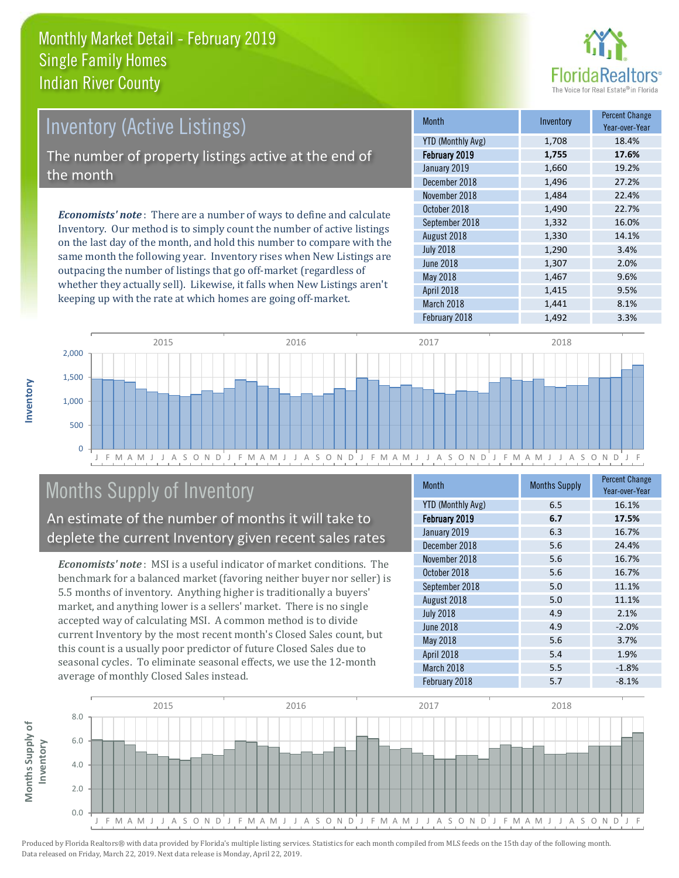

# Inventory (Active Listings)

The number of property listings active at the end of the month

*Economists' note* : There are a number of ways to define and calculate Inventory. Our method is to simply count the number of active listings on the last day of the month, and hold this number to compare with the same month the following year. Inventory rises when New Listings are outpacing the number of listings that go off-market (regardless of whether they actually sell). Likewise, it falls when New Listings aren't keeping up with the rate at which homes are going off-market.

| <b>Month</b>             | Inventory | <b>Percent Change</b><br>Year-over-Year |
|--------------------------|-----------|-----------------------------------------|
| <b>YTD (Monthly Avg)</b> | 1,708     | 18.4%                                   |
| February 2019            | 1,755     | 17.6%                                   |
| January 2019             | 1,660     | 19.2%                                   |
| December 2018            | 1,496     | 27.2%                                   |
| November 2018            | 1,484     | 22.4%                                   |
| October 2018             | 1,490     | 22.7%                                   |
| September 2018           | 1,332     | 16.0%                                   |
| August 2018              | 1,330     | 14.1%                                   |
| <b>July 2018</b>         | 1,290     | 3.4%                                    |
| June 2018                | 1,307     | 2.0%                                    |
| May 2018                 | 1,467     | 9.6%                                    |
| April 2018               | 1,415     | 9.5%                                    |
| March 2018               | 1,441     | 8.1%                                    |
| February 2018            | 1,492     | 3.3%                                    |



# Months Supply of Inventory

An estimate of the number of months it will take to deplete the current Inventory given recent sales rates

*Economists' note* : MSI is a useful indicator of market conditions. The benchmark for a balanced market (favoring neither buyer nor seller) is 5.5 months of inventory. Anything higher is traditionally a buyers' market, and anything lower is a sellers' market. There is no single accepted way of calculating MSI. A common method is to divide current Inventory by the most recent month's Closed Sales count, but this count is a usually poor predictor of future Closed Sales due to seasonal cycles. To eliminate seasonal effects, we use the 12-month average of monthly Closed Sales instead.

| <b>Month</b>             | <b>Months Supply</b> | <b>Percent Change</b><br>Year-over-Year |
|--------------------------|----------------------|-----------------------------------------|
| <b>YTD (Monthly Avg)</b> | 6.5                  | 16.1%                                   |
| February 2019            | 6.7                  | 17.5%                                   |
| January 2019             | 6.3                  | 16.7%                                   |
| December 2018            | 5.6                  | 24.4%                                   |
| November 2018            | 5.6                  | 16.7%                                   |
| October 2018             | 5.6                  | 16.7%                                   |
| September 2018           | 5.0                  | 11.1%                                   |
| August 2018              | 5.0                  | 11.1%                                   |
| <b>July 2018</b>         | 4.9                  | 2.1%                                    |
| <b>June 2018</b>         | 4.9                  | $-2.0%$                                 |
| May 2018                 | 5.6                  | 3.7%                                    |
| April 2018               | 5.4                  | 1.9%                                    |
| March 2018               | 5.5                  | $-1.8%$                                 |
| February 2018            | 5.7                  | $-8.1%$                                 |

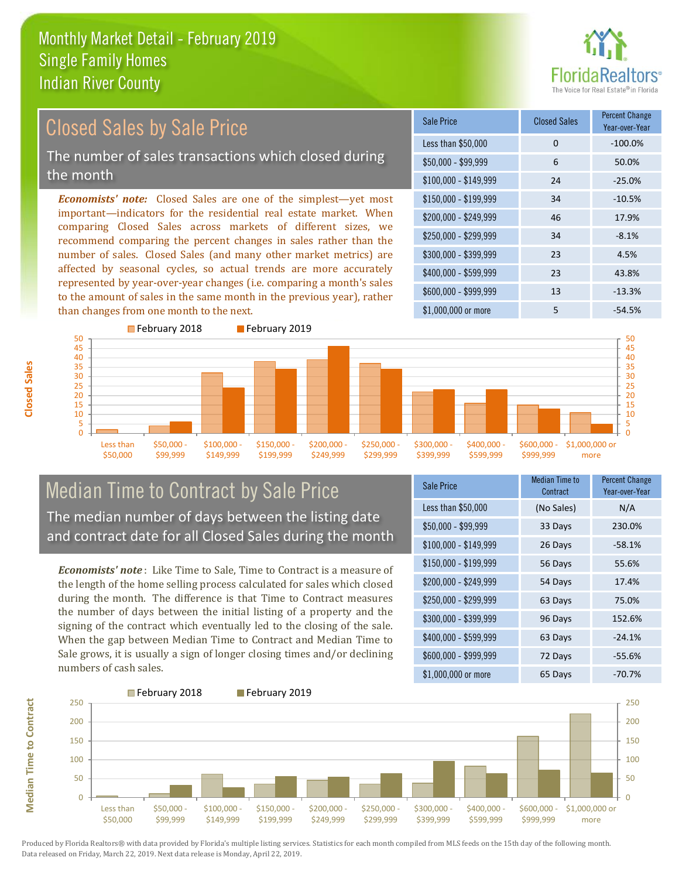

#### *Economists' note:* Closed Sales are one of the simplest—yet most important—indicators for the residential real estate market. When comparing Closed Sales across markets of different sizes, we recommend comparing the percent changes in sales rather than the number of sales. Closed Sales (and many other market metrics) are affected by seasonal cycles, so actual trends are more accurately represented by year-over-year changes (i.e. comparing a month's sales to the amount of sales in the same month in the previous year), rather than changes from one month to the next. \$1,000,000 or more 5 5 5 -54.5%  $$250,000 - $299,999$  34 -8.1% \$300,000 - \$399,999 23 4.5% \$400,000 - \$599,999 23 43.8% \$600,000 - \$999,999 13 -13.3% \$150,000 - \$199,999 34 -10.5% \$200,000 - \$249,999 46 17.9%  $$100,000 - $149,999$  24 -25.0% Sale Price Closed Sales Percent Change Year-over-Year Less than \$50,000 0 0 -100.0% \$50,000 - \$99,999 6 50.0% Closed Sales by Sale Price The number of sales transactions which closed during the month



#### Median Time to Contract by Sale Price The median number of days between the listing date and contract date for all Closed Sales during the month

*Economists' note* : Like Time to Sale, Time to Contract is a measure of the length of the home selling process calculated for sales which closed during the month. The difference is that Time to Contract measures the number of days between the initial listing of a property and the signing of the contract which eventually led to the closing of the sale. When the gap between Median Time to Contract and Median Time to Sale grows, it is usually a sign of longer closing times and/or declining numbers of cash sales.

| <b>Sale Price</b>     | <b>Median Time to</b><br>Contract | <b>Percent Change</b><br>Year-over-Year |
|-----------------------|-----------------------------------|-----------------------------------------|
| Less than \$50,000    | (No Sales)                        | N/A                                     |
| $$50,000 - $99,999$   | 33 Days                           | 230.0%                                  |
| $$100,000 - $149,999$ | 26 Days                           | $-58.1%$                                |
| $$150,000 - $199,999$ | 56 Days                           | 55.6%                                   |
| \$200,000 - \$249,999 | 54 Days                           | 17.4%                                   |
| \$250,000 - \$299,999 | 63 Days                           | 75.0%                                   |
| \$300,000 - \$399,999 | 96 Days                           | 152.6%                                  |
| \$400,000 - \$599,999 | 63 Days                           | $-24.1%$                                |
| \$600,000 - \$999,999 | 72 Days                           | $-55.6%$                                |
| \$1,000,000 or more   | 65 Days                           | $-70.7%$                                |



Produced by Florida Realtors® with data provided by Florida's multiple listing services. Statistics for each month compiled from MLS feeds on the 15th day of the following month. Data released on Friday, March 22, 2019. Next data release is Monday, April 22, 2019.

**Median Time to Contract**

**Median Time to Contract**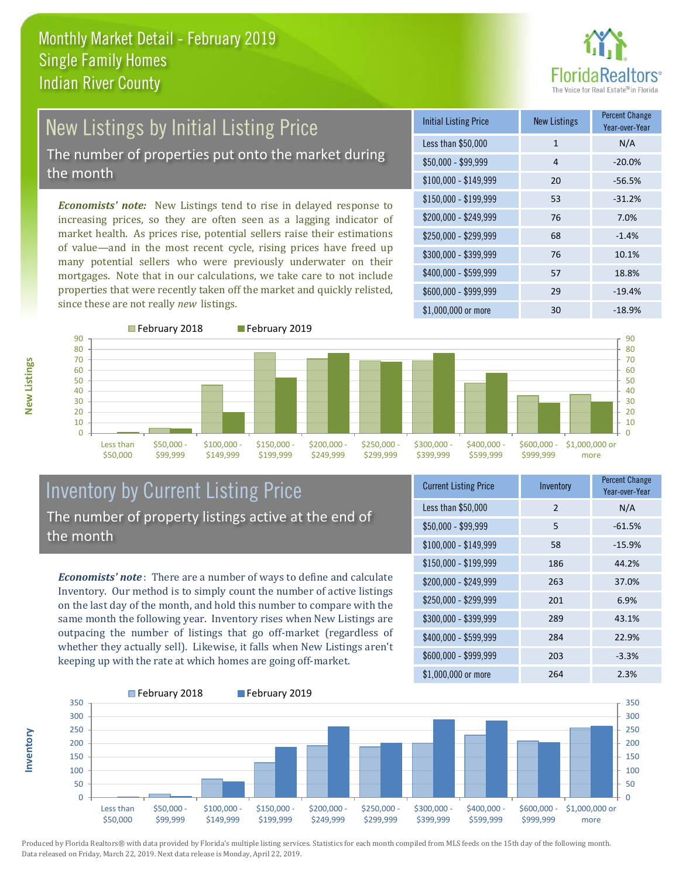

#### New Listings by Initial Listing Price The number of properties put onto the market during the month

*Economists' note:* New Listings tend to rise in delayed response to increasing prices, so they are often seen as a lagging indicator of market health. As prices rise, potential sellers raise their estimations of value—and in the most recent cycle, rising prices have freed up many potential sellers who were previously underwater on their mortgages. Note that in our calculations, we take care to not include properties that were recently taken off the market and quickly relisted, since these are not really *new* listings.

| Initial Listing Price | <b>New Listings</b> | <b>Percent Change</b><br>Year-over-Year |
|-----------------------|---------------------|-----------------------------------------|
| Less than \$50,000    | $\mathbf{1}$        | N/A                                     |
| $$50,000 - $99,999$   | 4                   | $-20.0%$                                |
| $$100,000 - $149,999$ | 20                  | $-56.5%$                                |
| $$150,000 - $199,999$ | 53                  | $-31.2%$                                |
| \$200,000 - \$249,999 | 76                  | 7.0%                                    |
| \$250,000 - \$299,999 | 68                  | $-1.4%$                                 |
| \$300,000 - \$399,999 | 76                  | 10.1%                                   |
| \$400,000 - \$599,999 | 57                  | 18.8%                                   |
| \$600,000 - \$999,999 | 29                  | $-19.4%$                                |
| $$1,000,000$ or more  | 30                  | $-18.9%$                                |



**New Listings**

**Inventory**



#### Inventory by Current Listing Price The number of property listings active at the end of the month

*Economists' note* : There are a number of ways to define and calculate Inventory. Our method is to simply count the number of active listings on the last day of the month, and hold this number to compare with the same month the following year. Inventory rises when New Listings are outpacing the number of listings that go off-market (regardless of whether they actually sell). Likewise, it falls when New Listings aren't keeping up with the rate at which homes are going off-market.

| <b>Current Listing Price</b> | Inventory     | <b>Percent Change</b><br>Year-over-Year |
|------------------------------|---------------|-----------------------------------------|
| Less than \$50,000           | $\mathcal{P}$ | N/A                                     |
| $$50,000 - $99,999$          | 5             | $-61.5%$                                |
| $$100,000 - $149,999$        | 58            | $-15.9%$                                |
| $$150,000 - $199,999$        | 186           | 44.2%                                   |
| \$200,000 - \$249,999        | 263           | 37.0%                                   |
| \$250,000 - \$299,999        | 201           | 6.9%                                    |
| \$300,000 - \$399,999        | 289           | 43.1%                                   |
| \$400,000 - \$599,999        | 284           | 22.9%                                   |
| \$600,000 - \$999,999        | 203           | $-3.3%$                                 |
| \$1,000,000 or more          | 264           | 2.3%                                    |